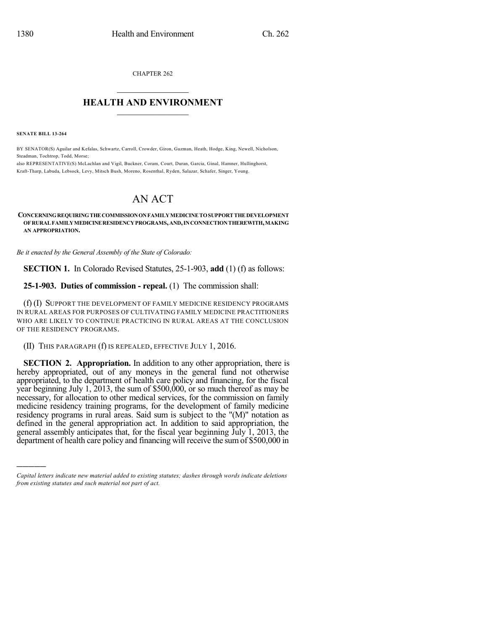CHAPTER 262

## $\mathcal{L}_\text{max}$  . The set of the set of the set of the set of the set of the set of the set of the set of the set of the set of the set of the set of the set of the set of the set of the set of the set of the set of the set **HEALTH AND ENVIRONMENT**  $\_$

**SENATE BILL 13-264**

)))))

BY SENATOR(S) Aguilar and Kefalas, Schwartz, Carroll, Crowder, Giron, Guzman, Heath, Hodge, King, Newell, Nicholson, Steadman, Tochtrop, Todd, Morse;

also REPRESENTATIVE(S) McLachlan and Vigil, Buckner, Coram, Court, Duran, Garcia, Ginal, Hamner, Hullinghorst, Kraft-Tharp, Labuda, Lebsock, Levy, Mitsch Bush, Moreno, Rosenthal, Ryden, Salazar, Schafer, Singer, Young.

## AN ACT

## **CONCERNINGREQUIRINGTHECOMMISSIONONFAMILYMEDICINE TOSUPPORT THE DEVELOPMENT OF RURAL FAMILYMEDICINERESIDENCYPROGRAMS,AND,INCONNECTIONTHEREWITH,MAKING AN APPROPRIATION.**

*Be it enacted by the General Assembly of the State of Colorado:*

**SECTION 1.** In Colorado Revised Statutes, 25-1-903, **add** (1) (f) as follows:

**25-1-903. Duties of commission - repeal.** (1) The commission shall:

(f) (I) SUPPORT THE DEVELOPMENT OF FAMILY MEDICINE RESIDENCY PROGRAMS IN RURAL AREAS FOR PURPOSES OF CULTIVATING FAMILY MEDICINE PRACTITIONERS WHO ARE LIKELY TO CONTINUE PRACTICING IN RURAL AREAS AT THE CONCLUSION OF THE RESIDENCY PROGRAMS.

(II) THIS PARAGRAPH (f) IS REPEALED, EFFECTIVE JULY 1, 2016.

**SECTION 2. Appropriation.** In addition to any other appropriation, there is hereby appropriated, out of any moneys in the general fund not otherwise appropriated, to the department of health care policy and financing, for the fiscal year beginning July 1, 2013, the sum of  $$500,000$ , or so much thereof as may be necessary, for allocation to other medical services, for the commission on family medicine residency training programs, for the development of family medicine residency programs in rural areas. Said sum is subject to the "(M)" notation as defined in the general appropriation act. In addition to said appropriation, the general assembly anticipates that, for the fiscal year beginning July 1, 2013, the department of health care policy and financing will receive the sumof \$500,000 in

*Capital letters indicate new material added to existing statutes; dashes through words indicate deletions from existing statutes and such material not part of act.*